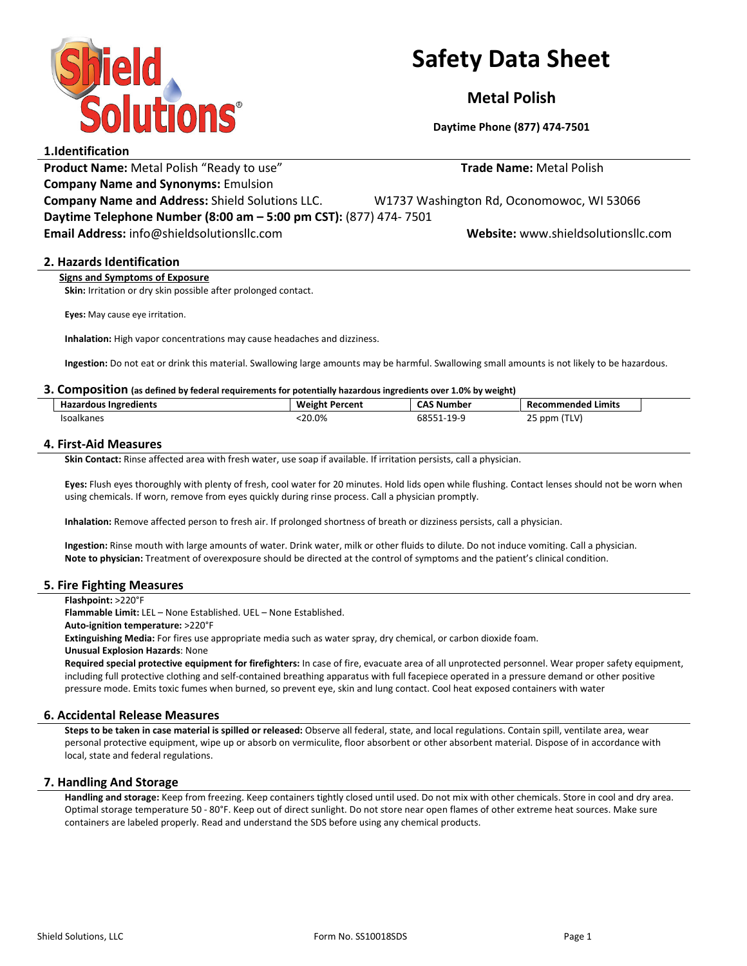

# Safety Data Sheet

Metal Polish

Daytime Phone (877) 474-7501

## 1.Identification

Product Name: Metal Polish "Ready to use" Trade Name: Metal Polish (Polish

Company Name and Synonyms: Emulsion

Company Name and Address: Shield Solutions LLC. W1737 Washington Rd, Oconomowoc, WI 53066

Daytime Telephone Number (8:00 am – 5:00 pm CST): (877) 474- 7501 Email Address: info@shieldsolutionsllc.com Website: www.shieldsolutionsllc.com

## 2. Hazards Identification

Signs and Symptoms of Exposure

Skin: Irritation or dry skin possible after prolonged contact.

Eyes: May cause eye irritation.

Inhalation: High vapor concentrations may cause headaches and dizziness.

Ingestion: Do not eat or drink this material. Swallowing large amounts may be harmful. Swallowing small amounts is not likely to be hazardous.

#### 3. Composition (as defined by federal requirements for potentially hazardous ingredients over 1.0% by weight)

| <b>Hazardous Ingredients</b> | <b>Weight Percent</b> | <b>CAS Number</b><br>.      | .<br><b>Recommended Limits</b>    |  |
|------------------------------|-----------------------|-----------------------------|-----------------------------------|--|
| <b>Isoalkanes</b>            | 20.0%                 | OEE.<br>.10.0<br>כאס<br>. . | ppm (TLV) ر<br>$\sim$ $\sim$<br>້ |  |

## 4. First-Aid Measures

Skin Contact: Rinse affected area with fresh water, use soap if available. If irritation persists, call a physician.

Eyes: Flush eyes thoroughly with plenty of fresh, cool water for 20 minutes. Hold lids open while flushing. Contact lenses should not be worn when using chemicals. If worn, remove from eyes quickly during rinse process. Call a physician promptly.

Inhalation: Remove affected person to fresh air. If prolonged shortness of breath or dizziness persists, call a physician.

Ingestion: Rinse mouth with large amounts of water. Drink water, milk or other fluids to dilute. Do not induce vomiting. Call a physician. Note to physician: Treatment of overexposure should be directed at the control of symptoms and the patient's clinical condition.

## 5. Fire Fighting Measures

Flashpoint: >220°F

Flammable Limit: LEL – None Established. UEL – None Established.

Auto-ignition temperature: >220°F

Extinguishing Media: For fires use appropriate media such as water spray, dry chemical, or carbon dioxide foam.

Unusual Explosion Hazards: None

Required special protective equipment for firefighters: In case of fire, evacuate area of all unprotected personnel. Wear proper safety equipment, including full protective clothing and self-contained breathing apparatus with full facepiece operated in a pressure demand or other positive pressure mode. Emits toxic fumes when burned, so prevent eye, skin and lung contact. Cool heat exposed containers with water

## 6. Accidental Release Measures

Steps to be taken in case material is spilled or released: Observe all federal, state, and local regulations. Contain spill, ventilate area, wear personal protective equipment, wipe up or absorb on vermiculite, floor absorbent or other absorbent material. Dispose of in accordance with local, state and federal regulations.

## 7. Handling And Storage

Handling and storage: Keep from freezing. Keep containers tightly closed until used. Do not mix with other chemicals. Store in cool and dry area. Optimal storage temperature 50 - 80°F. Keep out of direct sunlight. Do not store near open flames of other extreme heat sources. Make sure containers are labeled properly. Read and understand the SDS before using any chemical products.